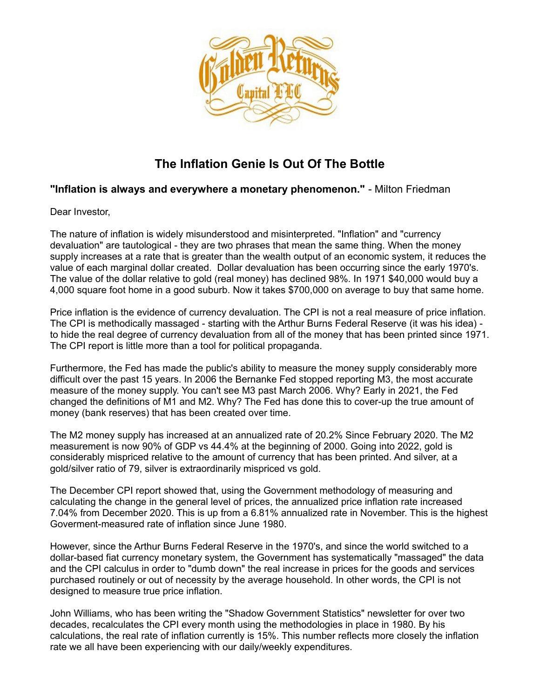

## **The Inflation Genie Is Out Of The Bottle**

## **"Inflation is always and everywhere a monetary phenomenon."** - Milton Friedman

Dear Investor,

The nature of inflation is widely misunderstood and misinterpreted. "Inflation" and "currency devaluation" are tautological - they are two phrases that mean the same thing. When the money supply increases at a rate that is greater than the wealth output of an economic system, it reduces the value of each marginal dollar created. Dollar devaluation has been occurring since the early 1970's. The value of the dollar relative to gold (real money) has declined 98%. In 1971 \$40,000 would buy a 4,000 square foot home in a good suburb. Now it takes \$700,000 on average to buy that same home.

Price inflation is the evidence of currency devaluation. The CPI is not a real measure of price inflation. The CPI is methodically massaged - starting with the Arthur Burns Federal Reserve (it was his idea) to hide the real degree of currency devaluation from all of the money that has been printed since 1971. The CPI report is little more than a tool for political propaganda.

Furthermore, the Fed has made the public's ability to measure the money supply considerably more difficult over the past 15 years. In 2006 the Bernanke Fed stopped reporting M3, the most accurate measure of the money supply. You can't see M3 past March 2006. Why? Early in 2021, the Fed changed the definitions of M1 and M2. Why? The Fed has done this to cover-up the true amount of money (bank reserves) that has been created over time.

The M2 money supply has increased at an annualized rate of 20.2% Since February 2020. The M2 measurement is now 90% of GDP vs 44.4% at the beginning of 2000. Going into 2022, gold is considerably mispriced relative to the amount of currency that has been printed. And silver, at a gold/silver ratio of 79, silver is extraordinarily mispriced vs gold.

The December CPI report showed that, using the Government methodology of measuring and calculating the change in the general level of prices, the annualized price inflation rate increased 7.04% from December 2020. This is up from a 6.81% annualized rate in November. This is the highest Goverment-measured rate of inflation since June 1980.

However, since the Arthur Burns Federal Reserve in the 1970's, and since the world switched to a dollar-based fiat currency monetary system, the Government has systematically "massaged" the data and the CPI calculus in order to "dumb down" the real increase in prices for the goods and services purchased routinely or out of necessity by the average household. In other words, the CPI is not designed to measure true price inflation.

John Williams, who has been writing the "Shadow Government Statistics" newsletter for over two decades, recalculates the CPI every month using the methodologies in place in 1980. By his calculations, the real rate of inflation currently is 15%. This number reflects more closely the inflation rate we all have been experiencing with our daily/weekly expenditures.